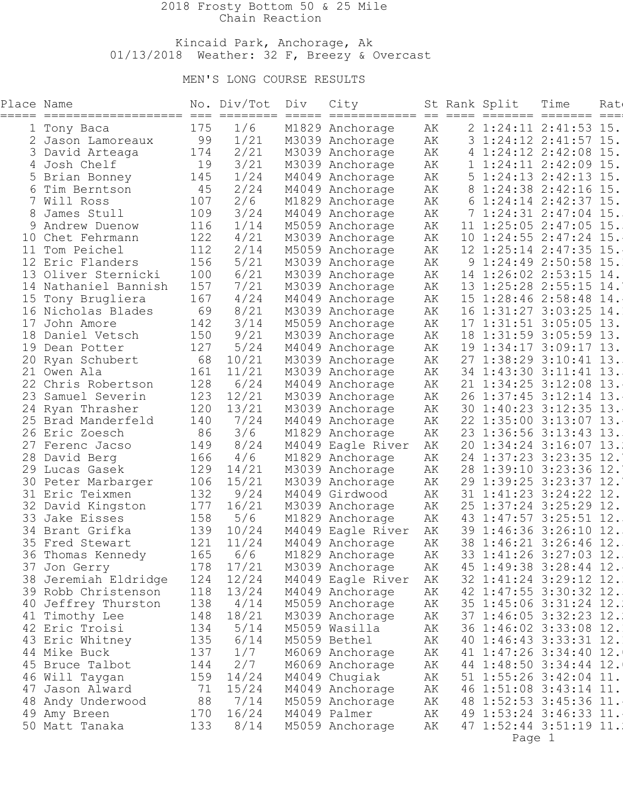### 2018 Frosty Bottom 50 & 25 Mile Chain Reaction

### Kincaid Park, Anchorage, Ak  $01/13/2018$  Weather: 32 F, Breezy & Overcast

# MEN'S LONG COURSE RESULTS

| Place Name<br>===== | ===================  |     | No. Div/Tot<br>=== ======== | Div<br>$== == ==$ | City<br>============= == ==== ======= ======= |    |                 | St Rank Split           | Time                  | Rat<br>____ |
|---------------------|----------------------|-----|-----------------------------|-------------------|-----------------------------------------------|----|-----------------|-------------------------|-----------------------|-------------|
|                     | 1 Tony Baca          | 175 | 1/6                         |                   | M1829 Anchorage                               | AК |                 | 2 1:24:11 2:41:53 15.   |                       |             |
|                     | Jason Lamoreaux      | 99  | 1/21                        |                   | M3039 Anchorage                               | AК |                 | $1:24:12$ $2:41:57$ 15. |                       |             |
|                     | David Arteaga        | 174 | 2/21                        |                   | M3039 Anchorage                               | AК | 4               | $1:24:12$ $2:42:08$ 15. |                       |             |
| 4                   | Josh Chelf           | 19  | 3/21                        |                   | M3039 Anchorage                               | AК |                 |                         | 1:24:11 2:42:09 15    |             |
|                     | Brian Bonney         | 145 | 1/24                        |                   | M4049 Anchorage                               | АK | 5               |                         | $1:24:13$ $2:42:13$   | 15          |
| 6                   | Tim Berntson         | 45  | 2/24                        |                   | M4049 Anchorage                               | АK | 8               |                         | 1:24:38 2:42:16 15    |             |
|                     | Will Ross            | 107 | 2/6                         |                   | M1829 Anchorage                               | АK | 6               |                         | $1:24:14$ $2:42:37$   | 15          |
|                     | James Stull          | 109 | 3/24                        |                   | M4049 Anchorage                               | АK |                 |                         | $1:24:31$ $2:47:04$   | 15          |
| 9                   | Andrew Duenow        | 116 | 1/14                        |                   | M5059 Anchorage                               | АK | 11              |                         | $1:25:05$ 2:47:05     | 15          |
| 10                  | Chet Fehrmann        | 122 | 4/21                        |                   | M3039 Anchorage                               | АK | 10 <sub>o</sub> | 1:24:55                 | 2:47:24               | 15          |
| 11                  | Tom Peichel          | 112 | 2/14                        |                   | M5059 Anchorage                               | AК | 12 <sup>°</sup> | $1:25:14$ $2:47:35$     |                       | 15          |
|                     | Eric Flanders        | 156 | 5/21                        |                   | M3039 Anchorage                               | AК | 9               |                         | $1:24:49$ 2:50:58     | 15          |
| 13                  | Oliver Sternicki     | 100 | 6/21                        |                   | M3039 Anchorage                               | АK | 14              | $1:26:02$ 2:53:15       |                       | 14.         |
| 14                  | Nathaniel Bannish    | 157 | 7/21                        |                   | M3039 Anchorage                               | АK |                 | 13 1:25:28 2:55:15      |                       | 14.         |
| 15                  | Tony Brugliera       | 167 | 4/24                        |                   | M4049 Anchorage                               | АK | 15              | $1:28:46$ $2:58:48$     |                       | 14.         |
|                     | 16 Nicholas Blades   | 69  | 8/21                        |                   | M3039 Anchorage                               | АK | 16              | $1:31:27$ 3:03:25 14.   |                       |             |
| 17                  | John Amore           | 142 | 3/14                        |                   | M5059 Anchorage                               | АK | 17              |                         | $1:31:51$ 3:05:05 13. |             |
| 18                  | Daniel Vetsch        | 150 | 9/21                        |                   | M3039 Anchorage                               | АK | 18              | $1:31:59$ 3:05:59 13.   |                       |             |
| 19                  | Dean Potter          | 127 | 5/24                        |                   | M4049 Anchorage                               | АK |                 | 19 1:34:17 3:09:17      |                       | 13.         |
|                     | 20 Ryan Schubert     | 68  | 10/21                       |                   | M3039 Anchorage                               | АK | 27              |                         | $1:38:29$ $3:10:41$   | 13.         |
| 21                  | Owen Ala             | 161 | 11/21                       |                   | M3039 Anchorage                               | АK |                 | 34 1:43:30 3:11:41 13.  |                       |             |
|                     | 22 Chris Robertson   | 128 | 6/24                        |                   | M4049 Anchorage                               | АK | 21              |                         | $1:34:25$ 3:12:08     | 13.         |
| 23                  | Samuel Severin       | 123 | 12/21                       |                   | M3039 Anchorage                               | АK | 26              | $1:37:45$ 3:12:14       |                       | 13.         |
|                     | 24 Ryan Thrasher     | 120 | 13/21                       |                   | M3039 Anchorage                               | АK |                 | 30 1:40:23 3:12:35 13.  |                       |             |
|                     | 25 Brad Manderfeld   | 140 | 7/24                        |                   | M4049 Anchorage                               | АK |                 | 22 1:35:00 3:13:07 13.  |                       |             |
|                     | 26 Eric Zoesch       | 86  | 3/6                         |                   | M1829 Anchorage                               | АK | 23              | $1:36:56$ 3:13:43       |                       | 13.         |
| 27                  | Ferenc Jacso         | 149 | 8/24                        |                   | M4049 Eagle River                             | АK | 20              | $1:34:24$ $3:16:07$ 13. |                       |             |
| 28                  | David Berg           | 166 | 4/6                         |                   | M1829 Anchorage                               | АK |                 | 24 1:37:23 3:23:35 12.  |                       |             |
|                     | 29 Lucas Gasek       | 129 | 14/21                       |                   | M3039 Anchorage                               | АK | 28              | 1:39:10 3:23:36 12.     |                       |             |
|                     | 30 Peter Marbarger   | 106 | 15/21                       |                   | M3039 Anchorage                               | АK | 29              | $1:39:25$ $3:23:37$     |                       | 12.         |
|                     | 31 Eric Teixmen      | 132 | 9/24                        |                   | M4049 Girdwood                                | AК |                 | 31 1:41:23 3:24:22      |                       | 12.         |
|                     | 32 David Kingston    | 177 | 16/21                       |                   | M3039 Anchorage                               | АK | 25              | $1:37:24$ 3:25:29 12.   |                       |             |
| 33                  | Jake Eisses          | 158 | 5/6                         |                   | M1829 Anchorage                               | АK | 43              | $1:47:57$ 3:25:51       |                       | 12.         |
|                     | 34 Brant Grifka      | 139 | 10/24                       |                   | M4049 Eagle River                             | AК | 39              | $1:46:36$ 3:26:10       |                       | 12.         |
|                     | 35 Fred Stewart      | 121 | 11/24                       |                   | M4049 Anchorage                               | AК |                 | 38 1:46:21 3:26:46 12.  |                       |             |
|                     | 36 Thomas Kennedy    | 165 | 6/6                         |                   | M1829 Anchorage                               | АK |                 | 33 1:41:26 3:27:03 12.  |                       |             |
|                     | 37 Jon Gerry         | 178 | 17/21                       |                   | M3039 Anchorage                               | АK |                 | 45 1:49:38 3:28:44 12.  |                       |             |
|                     | 38 Jeremiah Eldridge | 124 | 12/24                       |                   | M4049 Eagle River                             | АK |                 | 32 1:41:24 3:29:12 12.  |                       |             |
|                     | 39 Robb Christenson  | 118 | 13/24                       |                   | M4049 Anchorage                               | AК |                 | 42 1:47:55 3:30:32 12.  |                       |             |
|                     | 40 Jeffrey Thurston  | 138 | 4/14                        |                   | M5059 Anchorage                               | АK |                 | 35 1:45:06 3:31:24 12.  |                       |             |
|                     | 41 Timothy Lee       | 148 | 18/21                       |                   | M3039 Anchorage                               | АK |                 | 37 1:46:05 3:32:23 12.  |                       |             |
|                     | 42 Eric Troisi       | 134 | 5/14                        |                   | M5059 Wasilla                                 | AК |                 | 36 1:46:02 3:33:08 12.  |                       |             |
|                     | 43 Eric Whitney      | 135 | 6/14                        |                   | M5059 Bethel                                  | АK |                 | 40 1:46:43 3:33:31 12.  |                       |             |
|                     | 44 Mike Buck         | 137 | 1/7                         |                   | M6069 Anchorage                               | АK |                 | 41 1:47:26 3:34:40 12.  |                       |             |
|                     | 45 Bruce Talbot      | 144 | 2/7                         |                   | M6069 Anchorage                               | АK |                 | 44 1:48:50 3:34:44 12.  |                       |             |
|                     | 46 Will Taygan       | 159 | 14/24                       |                   | M4049 Chugiak                                 | АK |                 | 51 1:55:26 3:42:04 11.  |                       |             |
| 47                  | Jason Alward         | 71  | 15/24                       |                   | M4049 Anchorage                               | АK |                 | 46 1:51:08 3:43:14 11.  |                       |             |
|                     | 48 Andy Underwood    | 88  | 7/14                        |                   | M5059 Anchorage                               | АK |                 | 48 1:52:53 3:45:36 11.  |                       |             |
|                     | 49 Amy Breen         | 170 | 16/24                       |                   | M4049 Palmer                                  | АK |                 | 49 1:53:24 3:46:33 11.  |                       |             |
|                     | 50 Matt Tanaka       | 133 | 8/14                        |                   | M5059 Anchorage                               | AК |                 | 47 1:52:44 3:51:19 11.  |                       |             |
|                     |                      |     |                             |                   |                                               |    |                 |                         |                       |             |

en de la provincia de la provincia de la provincia de la provincia de la provincia de la provincia de la provi